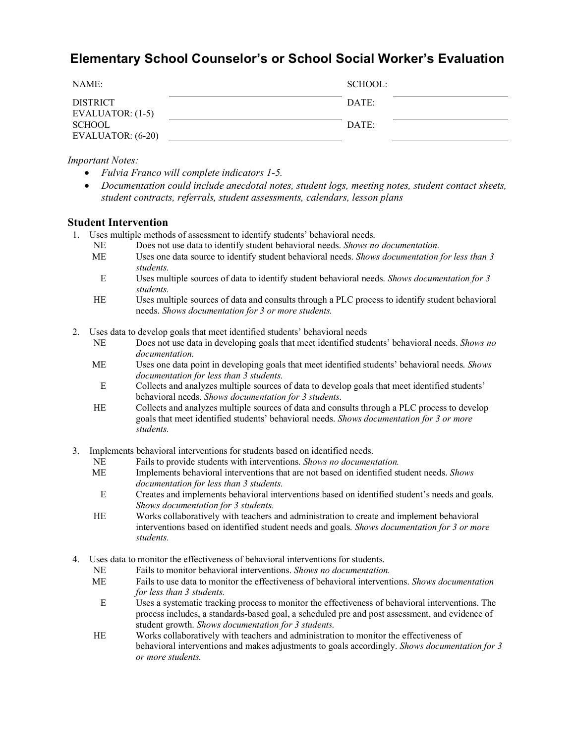# **Elementary School Counselor's or School Social Worker's Evaluation**

| NAME:                                 | SCHOOL: |
|---------------------------------------|---------|
| <b>DISTRICT</b><br>EVALUATOR: $(1-5)$ | DATE:   |
| <b>SCHOOL</b><br>EVALUATOR: (6-20)    | DATE:   |

*Important Notes:*

- *Fulvia Franco will complete indicators 1-5.*
- *Documentation could include anecdotal notes, student logs, meeting notes, student contact sheets, student contracts, referrals, student assessments, calendars, lesson plans*

#### **Student Intervention**

- 1. Uses multiple methods of assessment to identify students' behavioral needs.
	- NE Does not use data to identify student behavioral needs. *Shows no documentation.*
	- ME Uses one data source to identify student behavioral needs. *Shows documentation for less than 3 students.*
		- E Uses multiple sources of data to identify student behavioral needs. *Shows documentation for 3 students.*
	- HE Uses multiple sources of data and consults through a PLC process to identify student behavioral needs. *Shows documentation for 3 or more students.*
- 2. Uses data to develop goals that meet identified students' behavioral needs
	- NE Does not use data in developing goals that meet identified students' behavioral needs. *Shows no documentation.*
	- ME Uses one data point in developing goals that meet identified students' behavioral needs. *Shows documentation for less than 3 students.*
		- E Collects and analyzes multiple sources of data to develop goals that meet identified students' behavioral needs. *Shows documentation for 3 students.*
	- HE Collects and analyzes multiple sources of data and consults through a PLC process to develop goals that meet identified students' behavioral needs. *Shows documentation for 3 or more students.*
- 3. Implements behavioral interventions for students based on identified needs.
	- NE Fails to provide students with interventions. *Shows no documentation.*
	- ME Implements behavioral interventions that are not based on identified student needs. *Shows documentation for less than 3 students.*
	- E Creates and implements behavioral interventions based on identified student's needs and goals. *Shows documentation for 3 students.*
	- HE Works collaboratively with teachers and administration to create and implement behavioral interventions based on identified student needs and goals. *Shows documentation for 3 or more students.*
- 4. Uses data to monitor the effectiveness of behavioral interventions for students.
	- NE Fails to monitor behavioral interventions. *Shows no documentation.*
	- ME Fails to use data to monitor the effectiveness of behavioral interventions. *Shows documentation for less than 3 students.*
		- E Uses a systematic tracking process to monitor the effectiveness of behavioral interventions. The process includes, a standards-based goal, a scheduled pre and post assessment, and evidence of student growth. *Shows documentation for 3 students.*
	- HE Works collaboratively with teachers and administration to monitor the effectiveness of behavioral interventions and makes adjustments to goals accordingly. *Shows documentation for 3 or more students.*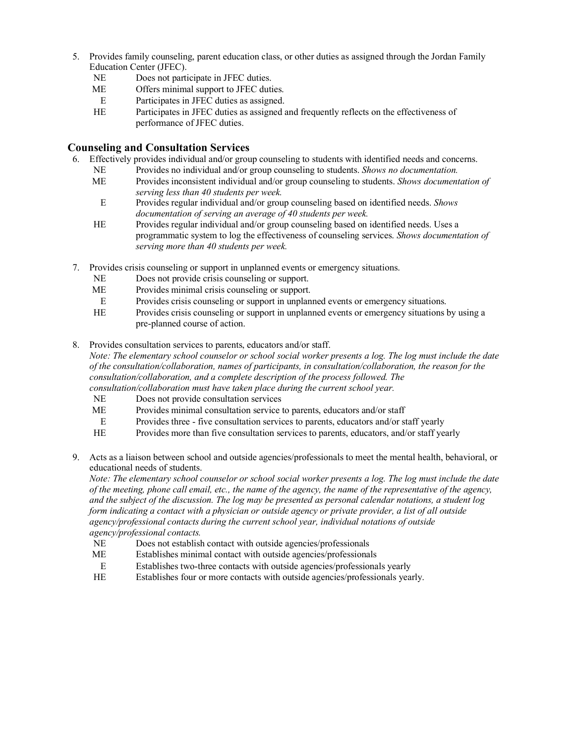- 5. Provides family counseling, parent education class, or other duties as assigned through the Jordan Family Education Center (JFEC).
	- NE Does not participate in JFEC duties.
	- ME Offers minimal support to JFEC duties.
	- E Participates in JFEC duties as assigned.
	- HE Participates in JFEC duties as assigned and frequently reflects on the effectiveness of performance of JFEC duties.

## **Counseling and Consultation Services**

- 6. Effectively provides individual and/or group counseling to students with identified needs and concerns.
	- NE Provides no individual and/or group counseling to students. *Shows no documentation.*
	- ME Provides inconsistent individual and/or group counseling to students. *Shows documentation of serving less than 40 students per week.*
		- E Provides regular individual and/or group counseling based on identified needs. *Shows documentation of serving an average of 40 students per week.*
	- HE Provides regular individual and/or group counseling based on identified needs. Uses a programmatic system to log the effectiveness of counseling services. *Shows documentation of serving more than 40 students per week.*
- 7. Provides crisis counseling or support in unplanned events or emergency situations.
	- NE Does not provide crisis counseling or support.
	- ME Provides minimal crisis counseling or support.
	- E Provides crisis counseling or support in unplanned events or emergency situations.
	- HE Provides crisis counseling or support in unplanned events or emergency situations by using a pre-planned course of action.
- 8. Provides consultation services to parents, educators and/or staff.

*Note: The elementary school counselor or school social worker presents a log. The log must include the date of the consultation/collaboration, names of participants, in consultation/collaboration, the reason for the consultation/collaboration, and a complete description of the process followed. The* 

- *consultation/collaboration must have taken place during the current school year.*
- NE Does not provide consultation services
- ME Provides minimal consultation service to parents, educators and/or staff
- E Provides three five consultation services to parents, educators and/or staff yearly
- HE Provides more than five consultation services to parents, educators, and/or staff yearly
- 9. Acts as a liaison between school and outside agencies/professionals to meet the mental health, behavioral, or educational needs of students.

*Note: The elementary school counselor or school social worker presents a log. The log must include the date of the meeting, phone call email, etc., the name of the agency, the name of the representative of the agency, and the subject of the discussion. The log may be presented as personal calendar notations, a student log form indicating a contact with a physician or outside agency or private provider, a list of all outside agency/professional contacts during the current school year, individual notations of outside agency/professional contacts.*

- NE Does not establish contact with outside agencies/professionals
- ME Establishes minimal contact with outside agencies/professionals
- E Establishes two-three contacts with outside agencies/professionals yearly
- HE Establishes four or more contacts with outside agencies/professionals yearly.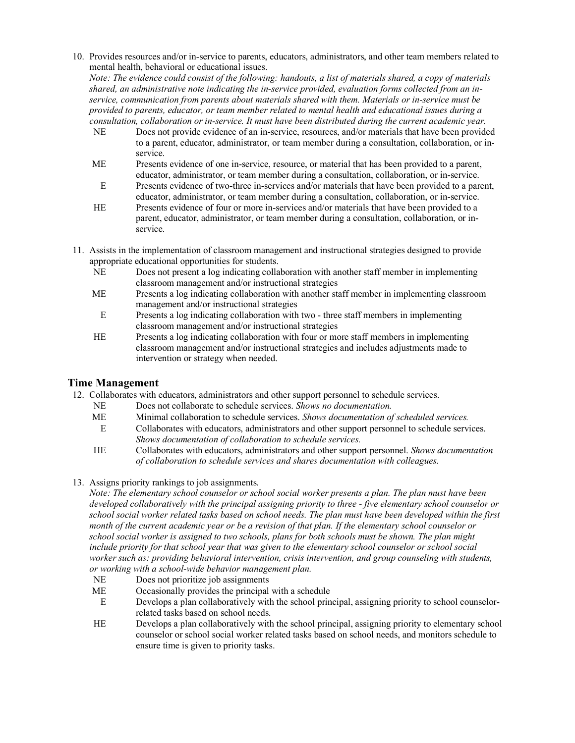10. Provides resources and/or in-service to parents, educators, administrators, and other team members related to mental health, behavioral or educational issues.

*Note: The evidence could consist of the following: handouts, a list of materials shared, a copy of materials shared, an administrative note indicating the in-service provided, evaluation forms collected from an inservice, communication from parents about materials shared with them. Materials or in-service must be provided to parents, educator, or team member related to mental health and educational issues during a consultation, collaboration or in-service. It must have been distributed during the current academic year.*

- NE Does not provide evidence of an in-service, resources, and/or materials that have been provided to a parent, educator, administrator, or team member during a consultation, collaboration, or inservice.
- ME Presents evidence of one in-service, resource, or material that has been provided to a parent, educator, administrator, or team member during a consultation, collaboration, or in-service.
- E Presents evidence of two-three in-services and/or materials that have been provided to a parent, educator, administrator, or team member during a consultation, collaboration, or in-service.
- HE Presents evidence of four or more in-services and/or materials that have been provided to a parent, educator, administrator, or team member during a consultation, collaboration, or inservice.
- 11. Assists in the implementation of classroom management and instructional strategies designed to provide appropriate educational opportunities for students.
	- NE Does not present a log indicating collaboration with another staff member in implementing classroom management and/or instructional strategies
	- ME Presents a log indicating collaboration with another staff member in implementing classroom management and/or instructional strategies
		- E Presents a log indicating collaboration with two three staff members in implementing classroom management and/or instructional strategies
	- HE Presents a log indicating collaboration with four or more staff members in implementing classroom management and/or instructional strategies and includes adjustments made to intervention or strategy when needed.

# **Time Management**

- 12. Collaborates with educators, administrators and other support personnel to schedule services.
	- NE Does not collaborate to schedule services. *Shows no documentation.*
	- ME Minimal collaboration to schedule services. *Shows documentation of scheduled services.*
	- E Collaborates with educators, administrators and other support personnel to schedule services. *Shows documentation of collaboration to schedule services.*
	- HE Collaborates with educators, administrators and other support personnel. *Shows documentation of collaboration to schedule services and shares documentation with colleagues.*
- 13. Assigns priority rankings to job assignments.

*Note: The elementary school counselor or school social worker presents a plan. The plan must have been developed collaboratively with the principal assigning priority to three - five elementary school counselor or school social worker related tasks based on school needs. The plan must have been developed within the first month of the current academic year or be a revision of that plan. If the elementary school counselor or school social worker is assigned to two schools, plans for both schools must be shown. The plan might include priority for that school year that was given to the elementary school counselor or school social worker such as: providing behavioral intervention, crisis intervention, and group counseling with students, or working with a school-wide behavior management plan.*

- NE Does not prioritize job assignments
- ME Occasionally provides the principal with a schedule
- E Develops a plan collaboratively with the school principal, assigning priority to school counselorrelated tasks based on school needs.
- HE Develops a plan collaboratively with the school principal, assigning priority to elementary school counselor or school social worker related tasks based on school needs, and monitors schedule to ensure time is given to priority tasks.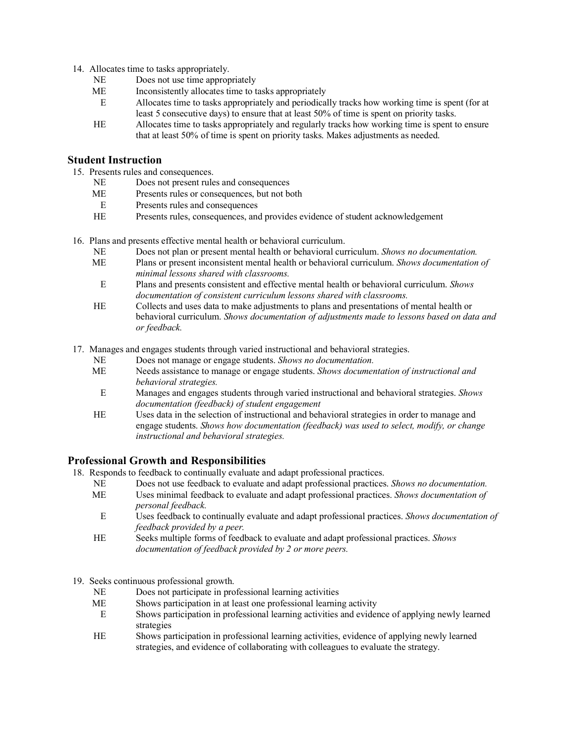- 14. Allocates time to tasks appropriately.
	- NE Does not use time appropriately
	- ME Inconsistently allocates time to tasks appropriately
	- E Allocates time to tasks appropriately and periodically tracks how working time is spent (for at least 5 consecutive days) to ensure that at least 50% of time is spent on priority tasks.
	- HE Allocates time to tasks appropriately and regularly tracks how working time is spent to ensure that at least 50% of time is spent on priority tasks. Makes adjustments as needed.

### **Student Instruction**

- 15. Presents rules and consequences.
	- NE Does not present rules and consequences
	- ME Presents rules or consequences, but not both
	- E Presents rules and consequences
	- HE Presents rules, consequences, and provides evidence of student acknowledgement
- 16. Plans and presents effective mental health or behavioral curriculum.
	- NE Does not plan or present mental health or behavioral curriculum. *Shows no documentation.*
	- ME Plans or present inconsistent mental health or behavioral curriculum. *Shows documentation of minimal lessons shared with classrooms.*
	- E Plans and presents consistent and effective mental health or behavioral curriculum. *Shows documentation of consistent curriculum lessons shared with classrooms.*
	- HE Collects and uses data to make adjustments to plans and presentations of mental health or behavioral curriculum. *Shows documentation of adjustments made to lessons based on data and or feedback.*
- 17. Manages and engages students through varied instructional and behavioral strategies.
	- NE Does not manage or engage students. *Shows no documentation.*
	- ME Needs assistance to manage or engage students. *Shows documentation of instructional and behavioral strategies.*
		- E Manages and engages students through varied instructional and behavioral strategies. *Shows documentation (feedback) of student engagement*
	- HE Uses data in the selection of instructional and behavioral strategies in order to manage and engage students. *Shows how documentation (feedback) was used to select, modify, or change instructional and behavioral strategies.*

## **Professional Growth and Responsibilities**

- 18. Responds to feedback to continually evaluate and adapt professional practices.
	- NE Does not use feedback to evaluate and adapt professional practices. *Shows no documentation.*
	- ME Uses minimal feedback to evaluate and adapt professional practices. *Shows documentation of personal feedback.*
	- E Uses feedback to continually evaluate and adapt professional practices. *Shows documentation of feedback provided by a peer.*
	- HE Seeks multiple forms of feedback to evaluate and adapt professional practices. *Shows documentation of feedback provided by 2 or more peers.*
- 19. Seeks continuous professional growth.
	- NE Does not participate in professional learning activities<br>ME Shows participation in at least one professional learnin
	- Shows participation in at least one professional learning activity
	- E Shows participation in professional learning activities and evidence of applying newly learned strategies
	- HE Shows participation in professional learning activities, evidence of applying newly learned strategies, and evidence of collaborating with colleagues to evaluate the strategy.